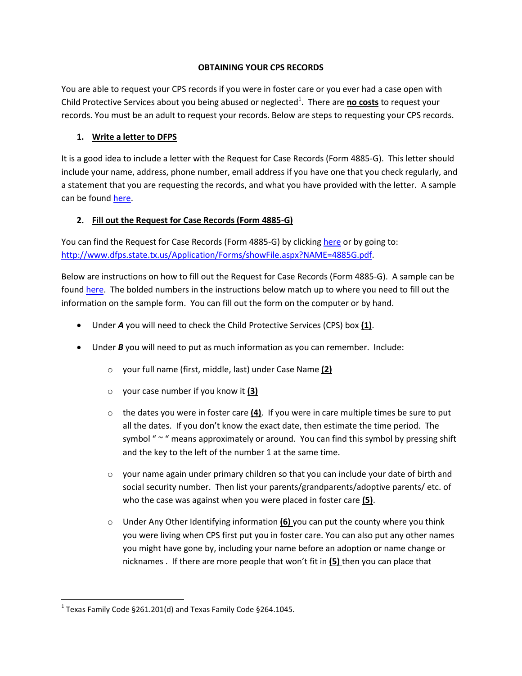#### **OBTAINING YOUR CPS RECORDS**

You are able to request your CPS records if you were in foster care or you ever had a case open with Child Protective Services about you being abused or neglected<sup>1</sup>. There are no costs to request your records. You must be an adult to request your records. Below are steps to requesting your CPS records.

### **1. Write a letter to DFPS**

It is a good idea to include a letter with the Request for Case Records (Form 4885-G). This letter should include your name, address, phone number, email address if you have one that you check regularly, and a statement that you are requesting the records, and what you have provided with the letter. A sample can be found [here.](http://texasfosteryouth.org/downloads/form_4885g_sample.pdf)

## **2. Fill out the Request for Case Records (Form 4885-G)**

You can find the Request for Case Records (Form 4885-G) by clickin[g here](http://www.dfps.state.tx.us/Application/Forms/showFile.aspx?NAME=4885G.pdf) or by going to: [http://www.dfps.state.tx.us/Application/Forms/showFile.aspx?NAME=4885G.pdf.](http://www.dfps.state.tx.us/Application/Forms/showFile.aspx?NAME=4885G.pdf)

Below are instructions on how to fill out the Request for Case Records (Form 4885-G). A sample can be found [here.](http://texasfosteryouth.org/downloads/cps_records_letter_sample.docx) The bolded numbers in the instructions below match up to where you need to fill out the information on the sample form. You can fill out the form on the computer or by hand.

- Under *A* you will need to check the Child Protective Services (CPS) box **(1)**.
- Under **B** you will need to put as much information as you can remember. Include:
	- o your full name (first, middle, last) under Case Name **(2)**
	- o your case number if you know it **(3)**
	- o the dates you were in foster care **(4)**. If you were in care multiple times be sure to put all the dates. If you don't know the exact date, then estimate the time period. The symbol " $\sim$  " means approximately or around. You can find this symbol by pressing shift and the key to the left of the number 1 at the same time.
	- $\circ$  your name again under primary children so that you can include your date of birth and social security number. Then list your parents/grandparents/adoptive parents/ etc. of who the case was against when you were placed in foster care **(5)**.
	- o Under Any Other Identifying information **(6)** you can put the county where you think you were living when CPS first put you in foster care. You can also put any other names you might have gone by, including your name before an adoption or name change or nicknames . If there are more people that won't fit in **(5)** then you can place that

 $\overline{\phantom{a}}$ 

 $^1$  Texas Family Code §261.201(d) and Texas Family Code §264.1045.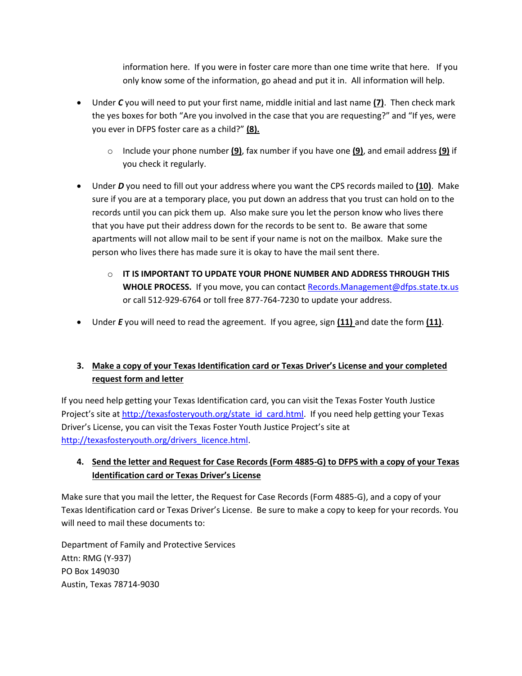information here. If you were in foster care more than one time write that here. If you only know some of the information, go ahead and put it in. All information will help.

- Under *C* you will need to put your first name, middle initial and last name **(7)**. Then check mark the yes boxes for both "Are you involved in the case that you are requesting?" and "If yes, were you ever in DFPS foster care as a child?" **(8).**
	- o Include your phone number **(9)**, fax number if you have one **(9)**, and email address **(9)** if you check it regularly.
- Under *D* you need to fill out your address where you want the CPS records mailed to **(10)**. Make sure if you are at a temporary place, you put down an address that you trust can hold on to the records until you can pick them up. Also make sure you let the person know who lives there that you have put their address down for the records to be sent to. Be aware that some apartments will not allow mail to be sent if your name is not on the mailbox. Make sure the person who lives there has made sure it is okay to have the mail sent there.
	- o **IT IS IMPORTANT TO UPDATE YOUR PHONE NUMBER AND ADDRESS THROUGH THIS WHOLE PROCESS.** If you move, you can contact [Records.Management@dfps.state.tx.us](mailto:Records.Management@dfps.state.tx.us) or call 512-929-6764 or toll free 877-764-7230 to update your address.
- Under *E* you will need to read the agreement. If you agree, sign **(11)** and date the form **(11)**.

# **3. Make a copy of your Texas Identification card or Texas Driver's License and your completed request form and letter**

If you need help getting your Texas Identification card, you can visit the Texas Foster Youth Justice Project's site at [http://texasfosteryouth.org/state\\_id\\_card.html.](http://texasfosteryouth.org/state_id_card.html) If you need help getting your Texas Driver's License, you can visit the Texas Foster Youth Justice Project's site at [http://texasfosteryouth.org/drivers\\_licence.html.](http://texasfosteryouth.org/drivers_licence.html)

# **4. Send the letter and Request for Case Records (Form 4885-G) to DFPS with a copy of your Texas Identification card or Texas Driver's License**

Make sure that you mail the letter, the Request for Case Records (Form 4885-G), and a copy of your Texas Identification card or Texas Driver's License. Be sure to make a copy to keep for your records. You will need to mail these documents to:

Department of Family and Protective Services Attn: RMG (Y-937) PO Box 149030 Austin, Texas 78714-9030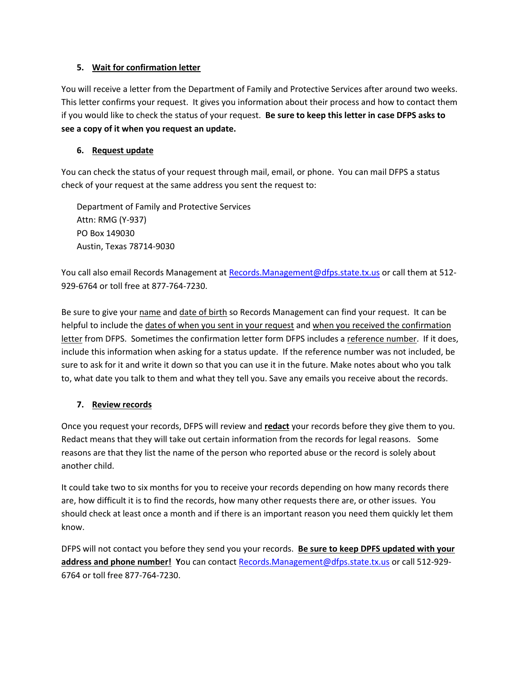#### **5. Wait for confirmation letter**

You will receive a letter from the Department of Family and Protective Services after around two weeks. This letter confirms your request. It gives you information about their process and how to contact them if you would like to check the status of your request. **Be sure to keep this letter in case DFPS asks to see a copy of it when you request an update.**

### **6. Request update**

You can check the status of your request through mail, email, or phone. You can mail DFPS a status check of your request at the same address you sent the request to:

Department of Family and Protective Services Attn: RMG (Y-937) PO Box 149030 Austin, Texas 78714-9030

You call also email Records Management a[t Records.Management@dfps.state.tx.us](mailto:Records.Management@dfps.state.tx.us) or call them at 512-929-6764 or toll free at 877-764-7230.

Be sure to give your name and date of birth so Records Management can find your request. It can be helpful to include the dates of when you sent in your request and when you received the confirmation letter from DFPS. Sometimes the confirmation letter form DFPS includes a reference number. If it does, include this information when asking for a status update. If the reference number was not included, be sure to ask for it and write it down so that you can use it in the future. Make notes about who you talk to, what date you talk to them and what they tell you. Save any emails you receive about the records.

### **7. Review records**

Once you request your records, DFPS will review and **redact** your records before they give them to you. Redact means that they will take out certain information from the records for legal reasons. Some reasons are that they list the name of the person who reported abuse or the record is solely about another child.

It could take two to six months for you to receive your records depending on how many records there are, how difficult it is to find the records, how many other requests there are, or other issues. You should check at least once a month and if there is an important reason you need them quickly let them know.

DFPS will not contact you before they send you your records. **Be sure to keep DPFS updated with your address and phone number! Y**ou can contact [Records.Management@dfps.state.tx.us](mailto:Records.Management@dfps.state.tx.us) or call 512-929- 6764 or toll free 877-764-7230.